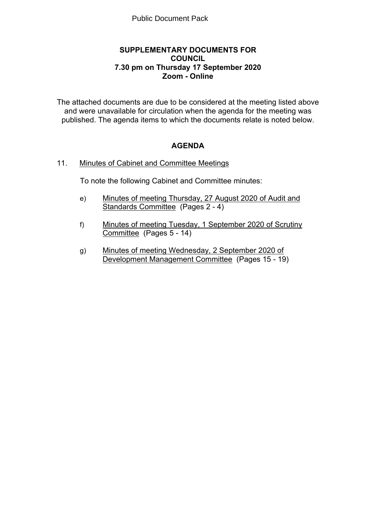# **SUPPLEMENTARY DOCUMENTS FOR COUNCIL 7.30 pm on Thursday 17 September 2020 Zoom - Online**

The attached documents are due to be considered at the meeting listed above and were unavailable for circulation when the agenda for the meeting was published. The agenda items to which the documents relate is noted below.

# **AGENDA**

# 11. Minutes of Cabinet and Committee Meetings

To note the following Cabinet and Committee minutes:

- e) Minutes of meeting Thursday, 27 August 2020 of Audit and Standards Committee (Pages 2 - 4)
- f) Minutes of meeting Tuesday, 1 September 2020 of Scrutiny Committee (Pages 5 - 14)
- g) Minutes of meeting Wednesday, 2 September 2020 of Development Management Committee (Pages 15 - 19)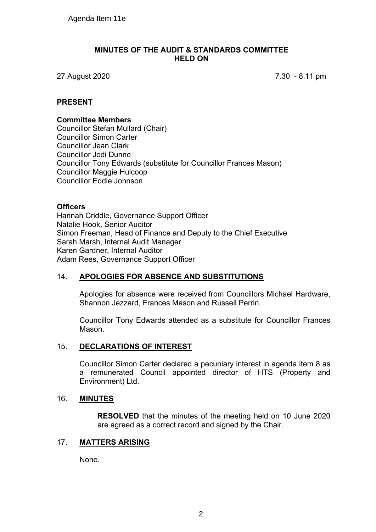#### **MINUTES OF THE AUDIT & STANDARDS COMMITTEE HELD ON**

27 August 2020 7.30 - 8.11 pm

# **PRESENT**

#### **Committee Members**

Councillor Stefan Mullard (Chair) Councillor Simon Carter Councillor Jean Clark Councillor Jodi Dunne Councillor Tony Edwards (substitute for Councillor Frances Mason) Councillor Maggie Hulcoop Councillor Eddie Johnson

# **Officers**

Hannah Criddle, Governance Support Officer Natalie Hook, Senior Auditor Simon Freeman, Head of Finance and Deputy to the Chief Executive Sarah Marsh, Internal Audit Manager Karen Gardner, Internal Auditor Adam Rees, Governance Support Officer

# 14. **APOLOGIES FOR ABSENCE AND SUBSTITUTIONS**

Apologies for absence were received from Councillors Michael Hardware, Shannon Jezzard, Frances Mason and Russell Perrin.

Councillor Tony Edwards attended as a substitute for Councillor Frances Mason.

# 15. **DECLARATIONS OF INTEREST**

Councillor Simon Carter declared a pecuniary interest in agenda item 8 as a remunerated Council appointed director of HTS (Property and Environment) Ltd.

# 16. **MINUTES**

**RESOLVED** that the minutes of the meeting held on 10 June 2020 are agreed as a correct record and signed by the Chair.

#### 17. **MATTERS ARISING**

None.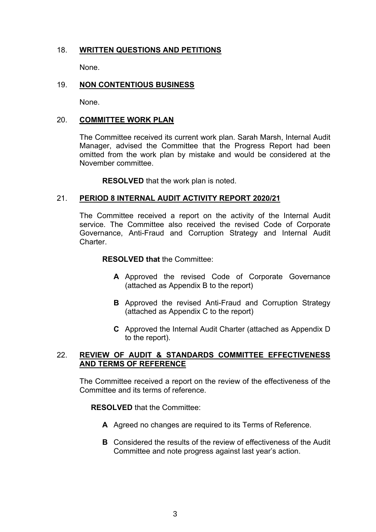# 18. **WRITTEN QUESTIONS AND PETITIONS**

None.

# 19. **NON CONTENTIOUS BUSINESS**

None.

#### 20. **COMMITTEE WORK PLAN**

The Committee received its current work plan. Sarah Marsh, Internal Audit Manager, advised the Committee that the Progress Report had been omitted from the work plan by mistake and would be considered at the November committee.

**RESOLVED** that the work plan is noted.

#### 21. **PERIOD 8 INTERNAL AUDIT ACTIVITY REPORT 2020/21**

The Committee received a report on the activity of the Internal Audit service. The Committee also received the revised Code of Corporate Governance, Anti-Fraud and Corruption Strategy and Internal Audit **Charter** 

**RESOLVED that** the Committee:

- **A** Approved the revised Code of Corporate Governance (attached as Appendix B to the report)
- **B** Approved the revised Anti-Fraud and Corruption Strategy (attached as Appendix C to the report)
- **C** Approved the Internal Audit Charter (attached as Appendix D to the report).

# 22. **REVIEW OF AUDIT & STANDARDS COMMITTEE EFFECTIVENESS AND TERMS OF REFERENCE**

The Committee received a report on the review of the effectiveness of the Committee and its terms of reference.

#### **RESOLVED** that the Committee:

- **A** Agreed no changes are required to its Terms of Reference.
- **B** Considered the results of the review of effectiveness of the Audit Committee and note progress against last year's action.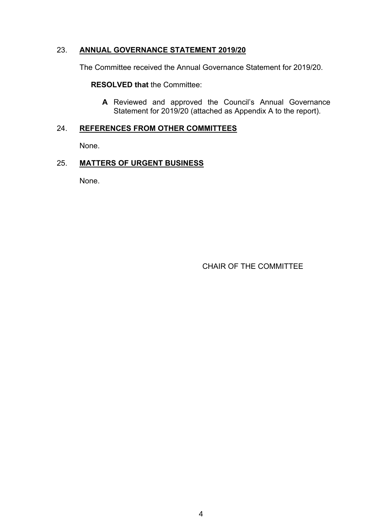# 23. **ANNUAL GOVERNANCE STATEMENT 2019/20**

The Committee received the Annual Governance Statement for 2019/20.

**RESOLVED that** the Committee:

**A** Reviewed and approved the Council's Annual Governance Statement for 2019/20 (attached as Appendix A to the report).

# 24. **REFERENCES FROM OTHER COMMITTEES**

None.

# 25. **MATTERS OF URGENT BUSINESS**

None.

CHAIR OF THE COMMITTEE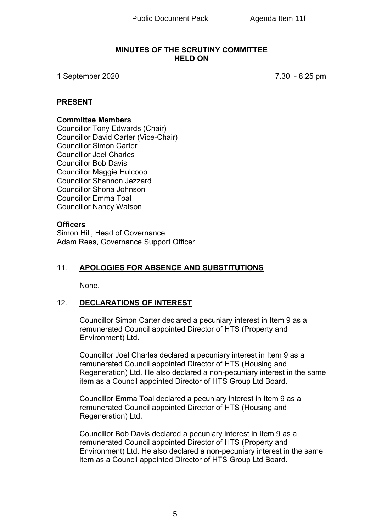#### **MINUTES OF THE SCRUTINY COMMITTEE HELD ON**

1 September 2020 7.30 - 8.25 pm

# **PRESENT**

#### **Committee Members**

Councillor Tony Edwards (Chair) Councillor David Carter (Vice-Chair) Councillor Simon Carter Councillor Joel Charles Councillor Bob Davis Councillor Maggie Hulcoop Councillor Shannon Jezzard Councillor Shona Johnson Councillor Emma Toal Councillor Nancy Watson

# **Officers**

Simon Hill, Head of Governance Adam Rees, Governance Support Officer

# 11. **APOLOGIES FOR ABSENCE AND SUBSTITUTIONS**

None.

# 12. **DECLARATIONS OF INTEREST**

Councillor Simon Carter declared a pecuniary interest in Item 9 as a remunerated Council appointed Director of HTS (Property and Environment) Ltd.

Councillor Joel Charles declared a pecuniary interest in Item 9 as a remunerated Council appointed Director of HTS (Housing and Regeneration) Ltd. He also declared a non-pecuniary interest in the same item as a Council appointed Director of HTS Group Ltd Board.

Councillor Emma Toal declared a pecuniary interest in Item 9 as a remunerated Council appointed Director of HTS (Housing and Regeneration) Ltd.

Councillor Bob Davis declared a pecuniary interest in Item 9 as a remunerated Council appointed Director of HTS (Property and Environment) Ltd. He also declared a non-pecuniary interest in the same item as a Council appointed Director of HTS Group Ltd Board.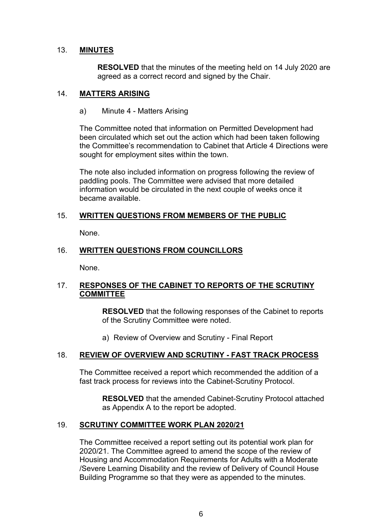# 13. **MINUTES**

**RESOLVED** that the minutes of the meeting held on 14 July 2020 are agreed as a correct record and signed by the Chair.

# 14. **MATTERS ARISING**

a) Minute 4 - Matters Arising

The Committee noted that information on Permitted Development had been circulated which set out the action which had been taken following the Committee's recommendation to Cabinet that Article 4 Directions were sought for employment sites within the town.

The note also included information on progress following the review of paddling pools. The Committee were advised that more detailed information would be circulated in the next couple of weeks once it became available.

# 15. **WRITTEN QUESTIONS FROM MEMBERS OF THE PUBLIC**

None.

# 16. **WRITTEN QUESTIONS FROM COUNCILLORS**

None.

# 17. **RESPONSES OF THE CABINET TO REPORTS OF THE SCRUTINY COMMITTEE**

**RESOLVED** that the following responses of the Cabinet to reports of the Scrutiny Committee were noted.

a) Review of Overview and Scrutiny - Final Report

# 18. **REVIEW OF OVERVIEW AND SCRUTINY - FAST TRACK PROCESS**

The Committee received a report which recommended the addition of a fast track process for reviews into the Cabinet-Scrutiny Protocol.

**RESOLVED** that the amended Cabinet-Scrutiny Protocol attached as Appendix A to the report be adopted.

# 19. **SCRUTINY COMMITTEE WORK PLAN 2020/21**

The Committee received a report setting out its potential work plan for 2020/21. The Committee agreed to amend the scope of the review of Housing and Accommodation Requirements for Adults with a Moderate /Severe Learning Disability and the review of Delivery of Council House Building Programme so that they were as appended to the minutes.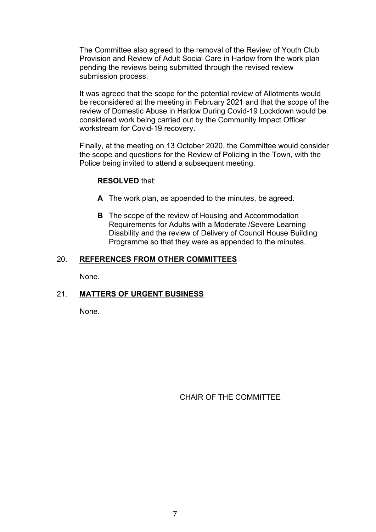The Committee also agreed to the removal of the Review of Youth Club Provision and Review of Adult Social Care in Harlow from the work plan pending the reviews being submitted through the revised review submission process.

It was agreed that the scope for the potential review of Allotments would be reconsidered at the meeting in February 2021 and that the scope of the review of Domestic Abuse in Harlow During Covid-19 Lockdown would be considered work being carried out by the Community Impact Officer workstream for Covid-19 recovery.

Finally, at the meeting on 13 October 2020, the Committee would consider the scope and questions for the Review of Policing in the Town, with the Police being invited to attend a subsequent meeting.

#### **RESOLVED** that:

- **A** The work plan, as appended to the minutes, be agreed.
- **B** The scope of the review of Housing and Accommodation Requirements for Adults with a Moderate /Severe Learning Disability and the review of Delivery of Council House Building Programme so that they were as appended to the minutes.

#### 20. **REFERENCES FROM OTHER COMMITTEES**

None.

# 21. **MATTERS OF URGENT BUSINESS**

None.

CHAIR OF THE COMMITTEE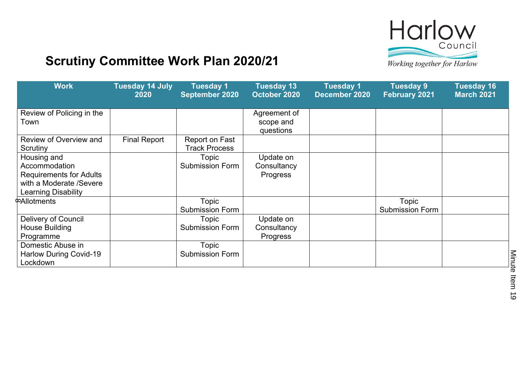

# **Scrutiny Committee Work Plan 2020/21**

Working together for Harlow

| <b>Work</b>                                                                                                      | <b>Tuesday 14 July</b><br>2020 | <b>Tuesday 1</b><br>September 2020     | <b>Tuesday 13</b><br>October 2020      | <b>Tuesday 1</b><br>December 2020 | <b>Tuesday 9</b><br><b>February 2021</b> | <b>Tuesday 16</b><br><b>March 2021</b> |
|------------------------------------------------------------------------------------------------------------------|--------------------------------|----------------------------------------|----------------------------------------|-----------------------------------|------------------------------------------|----------------------------------------|
| Review of Policing in the<br>Town                                                                                |                                |                                        | Agreement of<br>scope and<br>questions |                                   |                                          |                                        |
| Review of Overview and<br>Scrutiny                                                                               | <b>Final Report</b>            | Report on Fast<br><b>Track Process</b> |                                        |                                   |                                          |                                        |
| Housing and<br>Accommodation<br><b>Requirements for Adults</b><br>with a Moderate /Severe<br>Learning Disability |                                | <b>Topic</b><br><b>Submission Form</b> | Update on<br>Consultancy<br>Progress   |                                   |                                          |                                        |
| <b>CAllotments</b>                                                                                               |                                | Topic<br><b>Submission Form</b>        |                                        |                                   | Topic<br><b>Submission Form</b>          |                                        |
| Delivery of Council<br>House Building<br>Programme                                                               |                                | Topic<br><b>Submission Form</b>        | Update on<br>Consultancy<br>Progress   |                                   |                                          |                                        |
| Domestic Abuse in<br>Harlow During Covid-19<br>Lockdown                                                          |                                | Topic<br><b>Submission Form</b>        |                                        |                                   |                                          |                                        |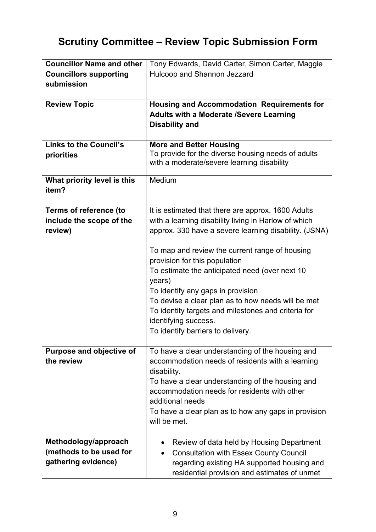# **Scrutiny Committee – Review Topic Submission Form**

| <b>Councillor Name and other</b>                                       | Tony Edwards, David Carter, Simon Carter, Maggie                                                                                                                                                                                                                                                                                                                                                                                                                                                                                  |
|------------------------------------------------------------------------|-----------------------------------------------------------------------------------------------------------------------------------------------------------------------------------------------------------------------------------------------------------------------------------------------------------------------------------------------------------------------------------------------------------------------------------------------------------------------------------------------------------------------------------|
| <b>Councillors supporting</b>                                          | Hulcoop and Shannon Jezzard                                                                                                                                                                                                                                                                                                                                                                                                                                                                                                       |
| submission                                                             |                                                                                                                                                                                                                                                                                                                                                                                                                                                                                                                                   |
|                                                                        |                                                                                                                                                                                                                                                                                                                                                                                                                                                                                                                                   |
| <b>Review Topic</b>                                                    | <b>Housing and Accommodation Requirements for</b><br><b>Adults with a Moderate /Severe Learning</b><br><b>Disability and</b>                                                                                                                                                                                                                                                                                                                                                                                                      |
| <b>Links to the Council's</b><br>priorities                            | <b>More and Better Housing</b><br>To provide for the diverse housing needs of adults<br>with a moderate/severe learning disability                                                                                                                                                                                                                                                                                                                                                                                                |
| What priority level is this<br>item?                                   | Medium                                                                                                                                                                                                                                                                                                                                                                                                                                                                                                                            |
| <b>Terms of reference (to</b><br>include the scope of the<br>review)   | It is estimated that there are approx. 1600 Adults<br>with a learning disability living in Harlow of which<br>approx. 330 have a severe learning disability. (JSNA)<br>To map and review the current range of housing<br>provision for this population<br>To estimate the anticipated need (over next 10<br>years)<br>To identify any gaps in provision<br>To devise a clear plan as to how needs will be met<br>To identity targets and milestones and criteria for<br>identifying success.<br>To identify barriers to delivery. |
| <b>Purpose and objective of</b><br>the review                          | To have a clear understanding of the housing and<br>accommodation needs of residents with a learning<br>disability.<br>To have a clear understanding of the housing and<br>accommodation needs for residents with other<br>additional needs<br>To have a clear plan as to how any gaps in provision<br>will be met.                                                                                                                                                                                                               |
| Methodology/approach<br>(methods to be used for<br>gathering evidence) | Review of data held by Housing Department<br>$\bullet$<br><b>Consultation with Essex County Council</b><br>regarding existing HA supported housing and<br>residential provision and estimates of unmet                                                                                                                                                                                                                                                                                                                            |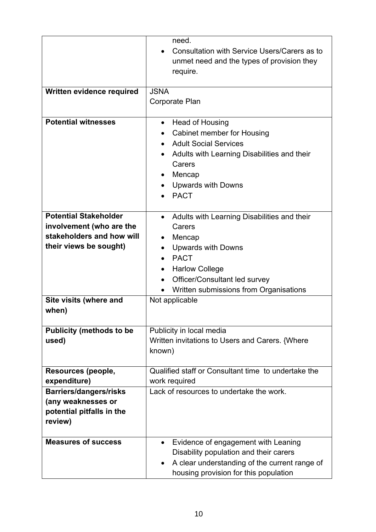|                                                                                                                                           | need.<br>Consultation with Service Users/Carers as to<br>$\bullet$<br>unmet need and the types of provision they<br>require.                                                                                                                                             |  |
|-------------------------------------------------------------------------------------------------------------------------------------------|--------------------------------------------------------------------------------------------------------------------------------------------------------------------------------------------------------------------------------------------------------------------------|--|
| Written evidence required                                                                                                                 | <b>JSNA</b><br>Corporate Plan                                                                                                                                                                                                                                            |  |
| <b>Potential witnesses</b>                                                                                                                | Head of Housing<br>$\bullet$<br>Cabinet member for Housing<br><b>Adult Social Services</b><br>Adults with Learning Disabilities and their<br>$\bullet$<br>Carers<br>Mencap<br><b>Upwards with Downs</b><br><b>PACT</b>                                                   |  |
| <b>Potential Stakeholder</b><br>involvement (who are the<br>stakeholders and how will<br>their views be sought)<br>Site visits (where and | Adults with Learning Disabilities and their<br>$\bullet$<br>Carers<br>Mencap<br><b>Upwards with Downs</b><br>$\bullet$<br><b>PACT</b><br><b>Harlow College</b><br>Officer/Consultant led survey<br>$\bullet$<br>Written submissions from Organisations<br>Not applicable |  |
| when)                                                                                                                                     |                                                                                                                                                                                                                                                                          |  |
| <b>Publicity (methods to be</b><br>used)                                                                                                  | Publicity in local media<br>Written invitations to Users and Carers. {Where<br>known)                                                                                                                                                                                    |  |
| Resources (people,<br>expenditure)                                                                                                        | Qualified staff or Consultant time to undertake the<br>work required                                                                                                                                                                                                     |  |
| <b>Barriers/dangers/risks</b><br>(any weaknesses or<br>potential pitfalls in the<br>review)                                               | Lack of resources to undertake the work.                                                                                                                                                                                                                                 |  |
| <b>Measures of success</b>                                                                                                                | Evidence of engagement with Leaning<br>$\bullet$<br>Disability population and their carers<br>A clear understanding of the current range of<br>$\bullet$<br>housing provision for this population                                                                        |  |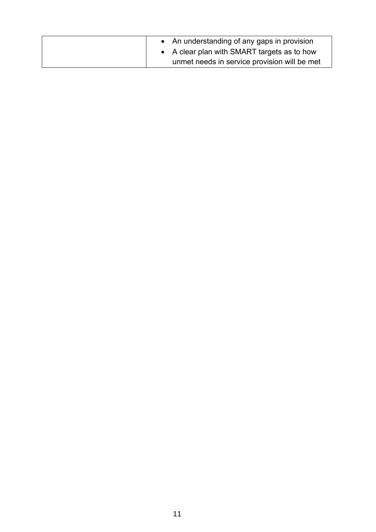| • An understanding of any gaps in provision  |
|----------------------------------------------|
| • A clear plan with SMART targets as to how  |
| unmet needs in service provision will be met |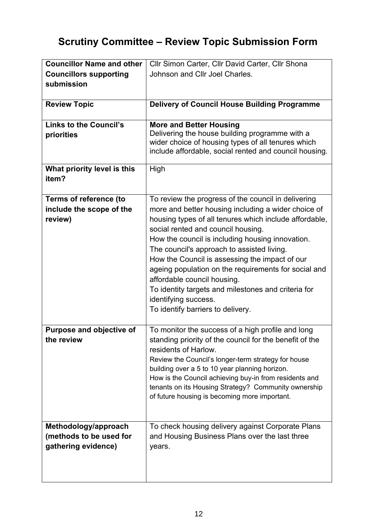# **Scrutiny Committee – Review Topic Submission Form**

| <b>Councillor Name and other</b> | Cllr Simon Carter, Cllr David Carter, Cllr Shona        |
|----------------------------------|---------------------------------------------------------|
| <b>Councillors supporting</b>    | Johnson and Cllr Joel Charles.                          |
| submission                       |                                                         |
|                                  |                                                         |
| <b>Review Topic</b>              | <b>Delivery of Council House Building Programme</b>     |
|                                  |                                                         |
| <b>Links to the Council's</b>    | <b>More and Better Housing</b>                          |
| priorities                       | Delivering the house building programme with a          |
|                                  | wider choice of housing types of all tenures which      |
|                                  | include affordable, social rented and council housing.  |
| What priority level is this      | High                                                    |
| item?                            |                                                         |
|                                  |                                                         |
| <b>Terms of reference (to</b>    | To review the progress of the council in delivering     |
| include the scope of the         | more and better housing including a wider choice of     |
| review)                          | housing types of all tenures which include affordable,  |
|                                  | social rented and council housing.                      |
|                                  | How the council is including housing innovation.        |
|                                  | The council's approach to assisted living.              |
|                                  | How the Council is assessing the impact of our          |
|                                  | ageing population on the requirements for social and    |
|                                  | affordable council housing.                             |
|                                  | To identity targets and milestones and criteria for     |
|                                  | identifying success.                                    |
|                                  | To identify barriers to delivery.                       |
|                                  |                                                         |
| Purpose and objective of         | To monitor the success of a high profile and long       |
| the review                       | standing priority of the council for the benefit of the |
|                                  | residents of Harlow.                                    |
|                                  | Review the Council's longer-term strategy for house     |
|                                  | building over a 5 to 10 year planning horizon.          |
|                                  | How is the Council achieving buy-in from residents and  |
|                                  | tenants on its Housing Strategy? Community ownership    |
|                                  | of future housing is becoming more important.           |
|                                  |                                                         |
|                                  |                                                         |
| Methodology/approach             | To check housing delivery against Corporate Plans       |
| (methods to be used for          | and Housing Business Plans over the last three          |
| gathering evidence)              | years.                                                  |
|                                  |                                                         |
|                                  |                                                         |
|                                  |                                                         |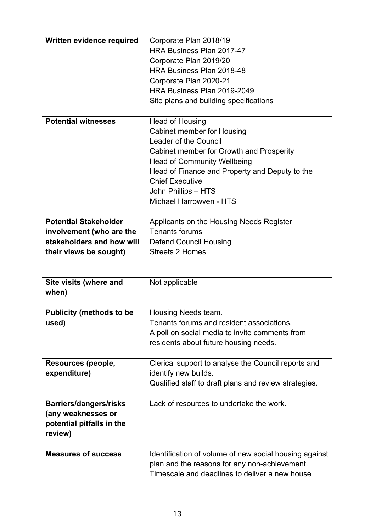| Written evidence required                                                                                       | Corporate Plan 2018/19<br><b>HRA Business Plan 2017-47</b><br>Corporate Plan 2019/20<br>HRA Business Plan 2018-48<br>Corporate Plan 2020-21<br>HRA Business Plan 2019-2049<br>Site plans and building specifications                                                                          |
|-----------------------------------------------------------------------------------------------------------------|-----------------------------------------------------------------------------------------------------------------------------------------------------------------------------------------------------------------------------------------------------------------------------------------------|
| <b>Potential witnesses</b>                                                                                      | Head of Housing<br><b>Cabinet member for Housing</b><br>Leader of the Council<br>Cabinet member for Growth and Prosperity<br><b>Head of Community Wellbeing</b><br>Head of Finance and Property and Deputy to the<br><b>Chief Executive</b><br>John Phillips - HTS<br>Michael Harrowven - HTS |
| <b>Potential Stakeholder</b><br>involvement (who are the<br>stakeholders and how will<br>their views be sought) | Applicants on the Housing Needs Register<br><b>Tenants forums</b><br><b>Defend Council Housing</b><br><b>Streets 2 Homes</b>                                                                                                                                                                  |
| Site visits (where and<br>when)                                                                                 | Not applicable                                                                                                                                                                                                                                                                                |
| <b>Publicity (methods to be</b><br>used)                                                                        | Housing Needs team.<br>Tenants forums and resident associations.<br>A poll on social media to invite comments from<br>residents about future housing needs.                                                                                                                                   |
| Resources (people,<br>expenditure)                                                                              | Clerical support to analyse the Council reports and<br>identify new builds.<br>Qualified staff to draft plans and review strategies.                                                                                                                                                          |
| <b>Barriers/dangers/risks</b><br>(any weaknesses or<br>potential pitfalls in the<br>review)                     | Lack of resources to undertake the work.                                                                                                                                                                                                                                                      |
| <b>Measures of success</b>                                                                                      | Identification of volume of new social housing against<br>plan and the reasons for any non-achievement.<br>Timescale and deadlines to deliver a new house                                                                                                                                     |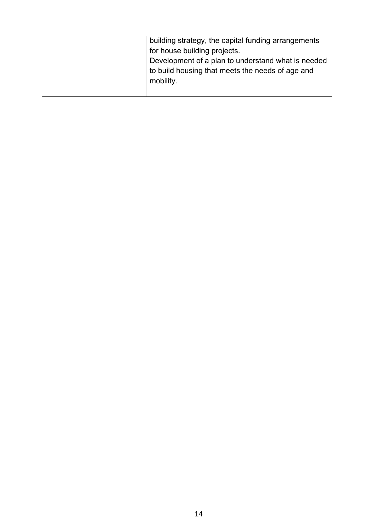| building strategy, the capital funding arrangements<br>for house building projects.<br>Development of a plan to understand what is needed<br>to build housing that meets the needs of age and<br>mobility. |
|------------------------------------------------------------------------------------------------------------------------------------------------------------------------------------------------------------|
|                                                                                                                                                                                                            |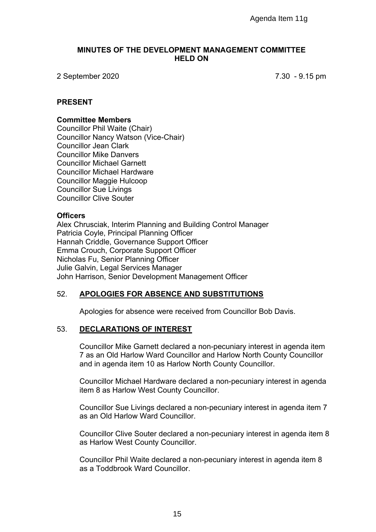#### **MINUTES OF THE DEVELOPMENT MANAGEMENT COMMITTEE HELD ON**

2 September 2020 7.30 - 9.15 pm

#### **PRESENT**

#### **Committee Members**

Councillor Phil Waite (Chair) Councillor Nancy Watson (Vice-Chair) Councillor Jean Clark Councillor Mike Danvers Councillor Michael Garnett Councillor Michael Hardware Councillor Maggie Hulcoop Councillor Sue Livings Councillor Clive Souter

#### **Officers**

Alex Chrusciak, Interim Planning and Building Control Manager Patricia Coyle, Principal Planning Officer Hannah Criddle, Governance Support Officer Emma Crouch, Corporate Support Officer Nicholas Fu, Senior Planning Officer Julie Galvin, Legal Services Manager John Harrison, Senior Development Management Officer Agenda Item 11g<br>
PPMENT MANAGEMENT COMMITTEE<br>
HELD ON<br>
7.30 - 9.<br>
7.30 - 9.<br>
7.30 - 9.<br>
7.30 - 9.<br>
7.30 - 9.<br>
POTECT<br>
Officer<br>
Officer<br>
Officer<br>
CFE<br>
Officer<br>
CFE<br>
CFE<br>
CFECT<br>
CFECT<br>
CFECT<br>
Itemagement Officer<br>
THE Managem

# 52. **APOLOGIES FOR ABSENCE AND SUBSTITUTIONS**

Apologies for absence were received from Councillor Bob Davis.

#### 53. **DECLARATIONS OF INTEREST**

Councillor Mike Garnett declared a non-pecuniary interest in agenda item 7 as an Old Harlow Ward Councillor and Harlow North County Councillor and in agenda item 10 as Harlow North County Councillor.

Councillor Michael Hardware declared a non-pecuniary interest in agenda item 8 as Harlow West County Councillor.

Councillor Sue Livings declared a non-pecuniary interest in agenda item 7 as an Old Harlow Ward Councillor.

Councillor Clive Souter declared a non-pecuniary interest in agenda item 8 as Harlow West County Councillor.

Councillor Phil Waite declared a non-pecuniary interest in agenda item 8 as a Toddbrook Ward Councillor.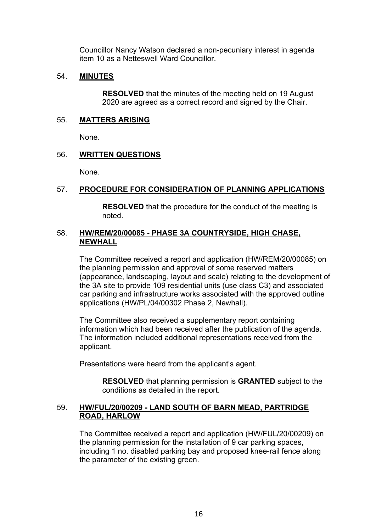Councillor Nancy Watson declared a non-pecuniary interest in agenda item 10 as a Netteswell Ward Councillor.

# 54. **MINUTES**

**RESOLVED** that the minutes of the meeting held on 19 August 2020 are agreed as a correct record and signed by the Chair.

# 55. **MATTERS ARISING**

None.

# 56. **WRITTEN QUESTIONS**

None.

# 57. **PROCEDURE FOR CONSIDERATION OF PLANNING APPLICATIONS**

**RESOLVED** that the procedure for the conduct of the meeting is noted.

# 58. **HW/REM/20/00085 - PHASE 3A COUNTRYSIDE, HIGH CHASE, NEWHALL**

The Committee received a report and application (HW/REM/20/00085) on the planning permission and approval of some reserved matters (appearance, landscaping, layout and scale) relating to the development of the 3A site to provide 109 residential units (use class C3) and associated car parking and infrastructure works associated with the approved outline applications (HW/PL/04/00302 Phase 2, Newhall).

The Committee also received a supplementary report containing information which had been received after the publication of the agenda. The information included additional representations received from the applicant.

Presentations were heard from the applicant's agent.

**RESOLVED** that planning permission is **GRANTED** subject to the conditions as detailed in the report.

# 59. **HW/FUL/20/00209 - LAND SOUTH OF BARN MEAD, PARTRIDGE ROAD, HARLOW**

The Committee received a report and application (HW/FUL/20/00209) on the planning permission for the installation of 9 car parking spaces, including 1 no. disabled parking bay and proposed knee-rail fence along the parameter of the existing green.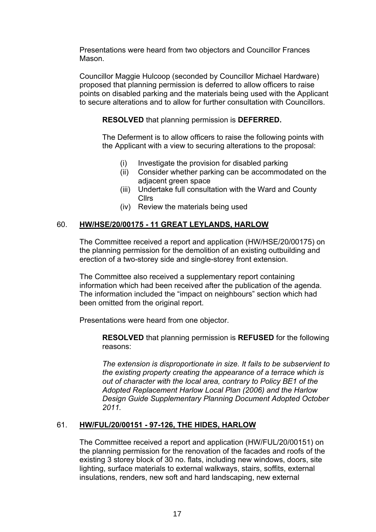Presentations were heard from two objectors and Councillor Frances Mason.

Councillor Maggie Hulcoop (seconded by Councillor Michael Hardware) proposed that planning permission is deferred to allow officers to raise points on disabled parking and the materials being used with the Applicant to secure alterations and to allow for further consultation with Councillors.

**RESOLVED** that planning permission is **DEFERRED.**

The Deferment is to allow officers to raise the following points with the Applicant with a view to securing alterations to the proposal:

- (i) Investigate the provision for disabled parking
- (ii) Consider whether parking can be accommodated on the adjacent green space
- (iii) Undertake full consultation with the Ward and County Cllrs
- (iv) Review the materials being used

# 60. **HW/HSE/20/00175 - 11 GREAT LEYLANDS, HARLOW**

The Committee received a report and application (HW/HSE/20/00175) on the planning permission for the demolition of an existing outbuilding and erection of a two-storey side and single-storey front extension.

The Committee also received a supplementary report containing information which had been received after the publication of the agenda. The information included the "impact on neighbours" section which had been omitted from the original report.

Presentations were heard from one objector.

**RESOLVED** that planning permission is **REFUSED** for the following reasons:

*The extension is disproportionate in size. It fails to be subservient to the existing property creating the appearance of a terrace which is out of character with the local area, contrary to Policy BE1 of the Adopted Replacement Harlow Local Plan (2006) and the Harlow Design Guide Supplementary Planning Document Adopted October 2011.*

# 61. **HW/FUL/20/00151 - 97-126, THE HIDES, HARLOW**

The Committee received a report and application (HW/FUL/20/00151) on the planning permission for the renovation of the facades and roofs of the existing 3 storey block of 30 no. flats, including new windows, doors, site lighting, surface materials to external walkways, stairs, soffits, external insulations, renders, new soft and hard landscaping, new external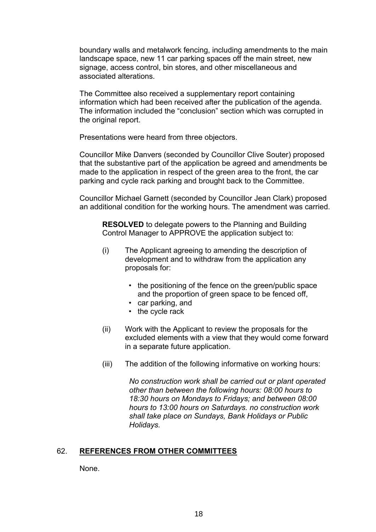boundary walls and metalwork fencing, including amendments to the main landscape space, new 11 car parking spaces off the main street, new signage, access control, bin stores, and other miscellaneous and associated alterations.

The Committee also received a supplementary report containing information which had been received after the publication of the agenda. The information included the "conclusion" section which was corrupted in the original report.

Presentations were heard from three objectors.

Councillor Mike Danvers (seconded by Councillor Clive Souter) proposed that the substantive part of the application be agreed and amendments be made to the application in respect of the green area to the front, the car parking and cycle rack parking and brought back to the Committee.

Councillor Michael Garnett (seconded by Councillor Jean Clark) proposed an additional condition for the working hours. The amendment was carried.

**RESOLVED** to delegate powers to the Planning and Building Control Manager to APPROVE the application subject to:

- (i) The Applicant agreeing to amending the description of development and to withdraw from the application any proposals for:
	- the positioning of the fence on the green/public space and the proportion of green space to be fenced off,
	- car parking, and
	- the cycle rack
- (ii) Work with the Applicant to review the proposals for the excluded elements with a view that they would come forward in a separate future application.
- (iii) The addition of the following informative on working hours:

*No construction work shall be carried out or plant operated other than between the following hours: 08:00 hours to 18:30 hours on Mondays to Fridays; and between 08:00 hours to 13:00 hours on Saturdays. no construction work shall take place on Sundays, Bank Holidays or Public Holidays.*

#### 62. **REFERENCES FROM OTHER COMMITTEES**

None.